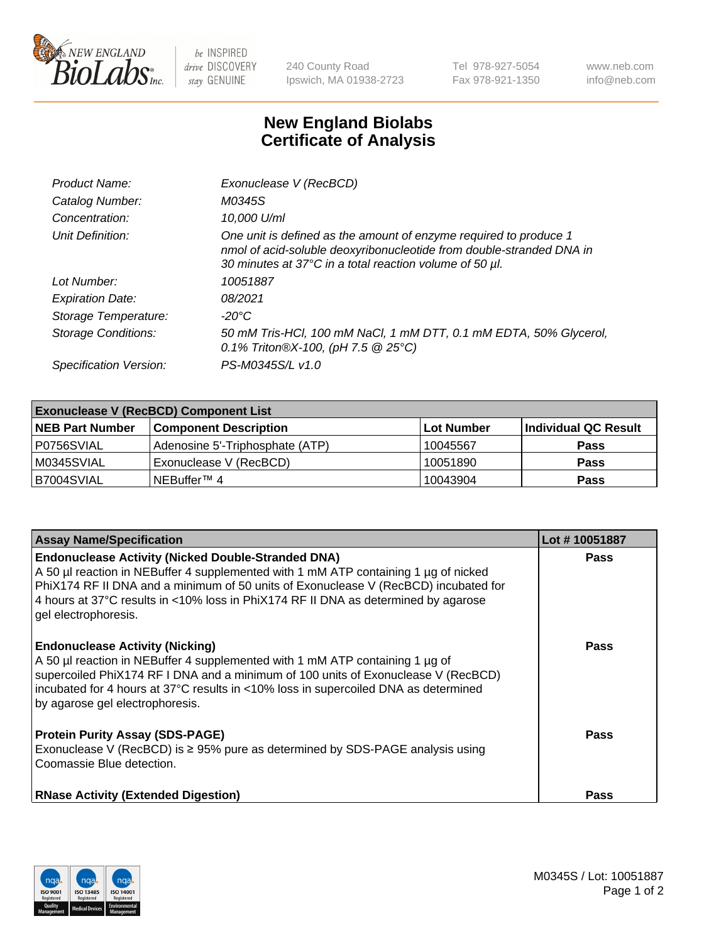

 $be$  INSPIRED drive DISCOVERY stay GENUINE

240 County Road Ipswich, MA 01938-2723 Tel 978-927-5054 Fax 978-921-1350 www.neb.com info@neb.com

## **New England Biolabs Certificate of Analysis**

| Product Name:              | Exonuclease V (RecBCD)                                                                                                                                                                               |
|----------------------------|------------------------------------------------------------------------------------------------------------------------------------------------------------------------------------------------------|
| Catalog Number:            | M0345S                                                                                                                                                                                               |
| Concentration:             | 10,000 U/ml                                                                                                                                                                                          |
| Unit Definition:           | One unit is defined as the amount of enzyme required to produce 1<br>nmol of acid-soluble deoxyribonucleotide from double-stranded DNA in<br>30 minutes at 37°C in a total reaction volume of 50 µl. |
| Lot Number:                | 10051887                                                                                                                                                                                             |
| <b>Expiration Date:</b>    | 08/2021                                                                                                                                                                                              |
| Storage Temperature:       | -20°C                                                                                                                                                                                                |
| <b>Storage Conditions:</b> | 50 mM Tris-HCl, 100 mM NaCl, 1 mM DTT, 0.1 mM EDTA, 50% Glycerol,<br>0.1% Triton®X-100, (pH 7.5 $@25°C$ )                                                                                            |
| Specification Version:     | PS-M0345S/L v1.0                                                                                                                                                                                     |

| <b>Exonuclease V (RecBCD) Component List</b> |                                 |            |                      |  |
|----------------------------------------------|---------------------------------|------------|----------------------|--|
| <b>NEB Part Number</b>                       | <b>Component Description</b>    | Lot Number | Individual QC Result |  |
| I P0756SVIAL                                 | Adenosine 5'-Triphosphate (ATP) | 10045567   | <b>Pass</b>          |  |
| I M0345SVIAL                                 | Exonuclease V (RecBCD)          | 10051890   | <b>Pass</b>          |  |
| B7004SVIAL                                   | INEBuffer™ 4                    | 10043904   | <b>Pass</b>          |  |

| <b>Assay Name/Specification</b>                                                                                                                                                                                                                                                                                                                       | Lot #10051887 |
|-------------------------------------------------------------------------------------------------------------------------------------------------------------------------------------------------------------------------------------------------------------------------------------------------------------------------------------------------------|---------------|
| <b>Endonuclease Activity (Nicked Double-Stranded DNA)</b><br>A 50 µl reaction in NEBuffer 4 supplemented with 1 mM ATP containing 1 µg of nicked<br>PhiX174 RF II DNA and a minimum of 50 units of Exonuclease V (RecBCD) incubated for<br>4 hours at 37°C results in <10% loss in PhiX174 RF II DNA as determined by agarose<br>gel electrophoresis. | <b>Pass</b>   |
| <b>Endonuclease Activity (Nicking)</b><br>A 50 µl reaction in NEBuffer 4 supplemented with 1 mM ATP containing 1 µg of<br>supercoiled PhiX174 RF I DNA and a minimum of 100 units of Exonuclease V (RecBCD)<br>incubated for 4 hours at 37°C results in <10% loss in supercoiled DNA as determined<br>by agarose gel electrophoresis.                 | <b>Pass</b>   |
| <b>Protein Purity Assay (SDS-PAGE)</b><br>Exonuclease V (RecBCD) is $\geq 95\%$ pure as determined by SDS-PAGE analysis using<br>Coomassie Blue detection.                                                                                                                                                                                            | <b>Pass</b>   |
| <b>RNase Activity (Extended Digestion)</b>                                                                                                                                                                                                                                                                                                            | Pass          |